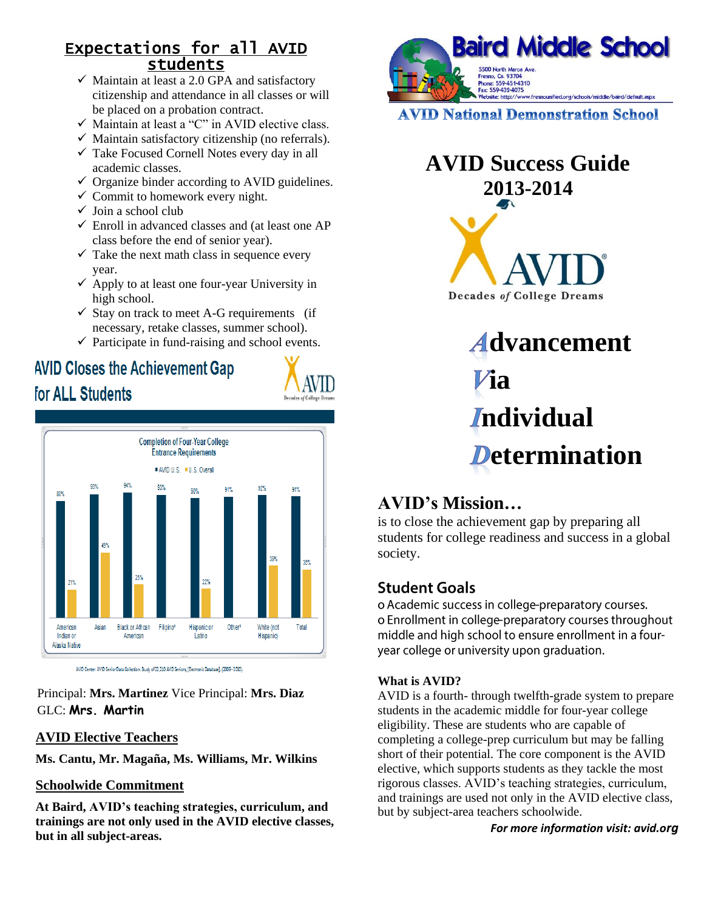### Expectations for all AVID students

- $\checkmark$  Maintain at least a 2.0 GPA and satisfactory citizenship and attendance in all classes or will be placed on a probation contract.
- $\checkmark$  Maintain at least a "C" in AVID elective class.
- $\checkmark$  Maintain satisfactory citizenship (no referrals).
- $\checkmark$  Take Focused Cornell Notes every day in all academic classes.
- $\checkmark$  Organize binder according to AVID guidelines.
- $\checkmark$  Commit to homework every night.
- $\checkmark$  Join a school club
- $\checkmark$  Enroll in advanced classes and (at least one AP class before the end of senior year).
- $\checkmark$  Take the next math class in sequence every year.
- $\checkmark$  Apply to at least one four-year University in high school.
- $\checkmark$  Stay on track to meet A-G requirements (if necessary, retake classes, summer school).
- $\checkmark$  Participate in fund-raising and school events.

# **AVID Closes the Achievement Gap**

for ALL Students





AVID Center. AVID Senior Data Collection. Study of 22,210 AVID Seniors, [Electronic Database]. (2009 - 2010).

Principal: **Mrs. Martinez** Vice Principal: **Mrs. Diaz** GLC: **Mrs. Martin**

#### **AVID Elective Teachers**

**Ms. Cantu, Mr. Magaña, Ms. Williams, Mr. Wilkins**

#### **Schoolwide Commitment**

**At Baird, AVID's teaching strategies, curriculum, and trainings are not only used in the AVID elective classes, but in all subject-areas.**



**AVID National Demonstration School** 

# **AVID Success Guide 2013-2014**



 **dvancement ia** *I*ndividual **Determination** 

## **AVID's Mission…**

is to close the achievement gap by preparing all students for college readiness and success in a global society.

## **Student Goals**

o Academic success in college-preparatory courses. o Enrollment in college-preparatory courses throughout middle and high school to ensure enrollment in a fouryear college or university upon graduation.

#### **What is AVID?**

AVID is a fourth- through twelfth-grade system to prepare students in the academic middle for four-year college eligibility. These are students who are capable of completing a college-prep curriculum but may be falling short of their potential. The core component is the AVID elective, which supports students as they tackle the most rigorous classes. AVID's teaching strategies, curriculum, and trainings are used not only in the AVID elective class, but by subject-area teachers schoolwide.

*For more information visit: avid.org*